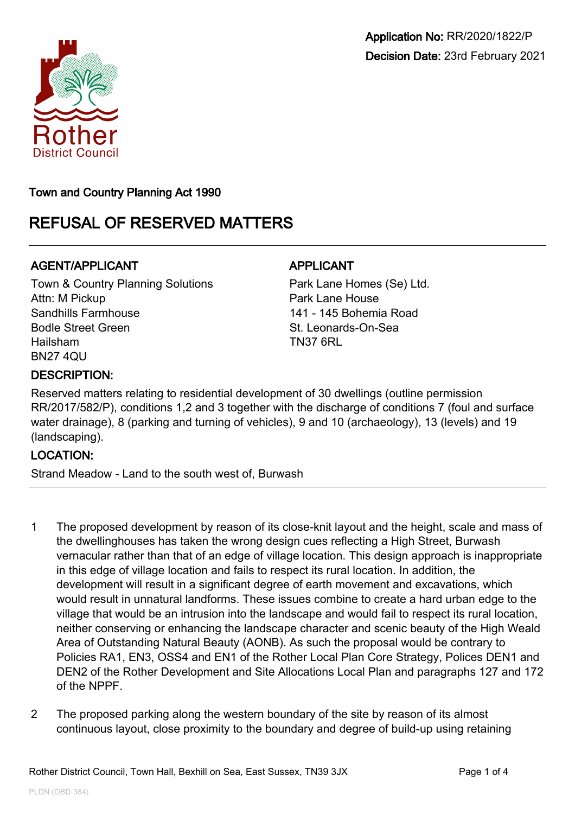



Town and Country Planning Act 1990

# REFUSAL OF RESERVED MATTERS

# AGENT/APPLICANT AGENT/APPLICANT

Town & Country Planning Solutions Attn: M Pickup Sandhills Farmhouse Bodle Street Green Hailsham BN27 4QU

Park Lane Homes (Se) Ltd. Park Lane House 141 - 145 Bohemia Road St. Leonards-On-Sea TN37 6RL

## DESCRIPTION:

Reserved matters relating to residential development of 30 dwellings (outline permission RR/2017/582/P), conditions 1,2 and 3 together with the discharge of conditions 7 (foul and surface water drainage), 8 (parking and turning of vehicles), 9 and 10 (archaeology), 13 (levels) and 19 (landscaping).

## LOCATION:

Strand Meadow - Land to the south west of, Burwash

- 1 The proposed development by reason of its close-knit layout and the height, scale and mass of the dwellinghouses has taken the wrong design cues reflecting a High Street, Burwash vernacular rather than that of an edge of village location. This design approach is inappropriate in this edge of village location and fails to respect its rural location. In addition, the development will result in a significant degree of earth movement and excavations, which would result in unnatural landforms. These issues combine to create a hard urban edge to the village that would be an intrusion into the landscape and would fail to respect its rural location, neither conserving or enhancing the landscape character and scenic beauty of the High Weald Area of Outstanding Natural Beauty (AONB). As such the proposal would be contrary to Policies RA1, EN3, OSS4 and EN1 of the Rother Local Plan Core Strategy, Polices DEN1 and DEN2 of the Rother Development and Site Allocations Local Plan and paragraphs 127 and 172 of the NPPF.
- 2 The proposed parking along the western boundary of the site by reason of its almost continuous layout, close proximity to the boundary and degree of build-up using retaining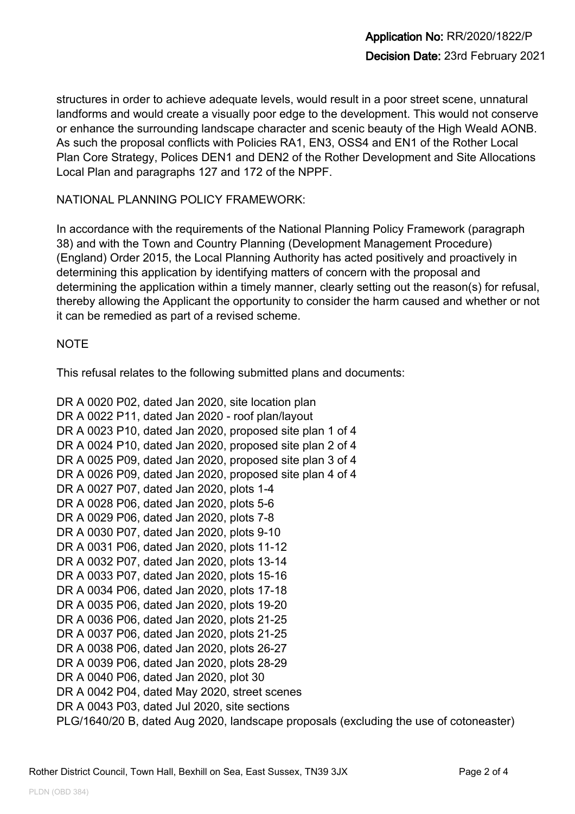structures in order to achieve adequate levels, would result in a poor street scene, unnatural landforms and would create a visually poor edge to the development. This would not conserve or enhance the surrounding landscape character and scenic beauty of the High Weald AONB. As such the proposal conflicts with Policies RA1, EN3, OSS4 and EN1 of the Rother Local Plan Core Strategy, Polices DEN1 and DEN2 of the Rother Development and Site Allocations Local Plan and paragraphs 127 and 172 of the NPPF.

NATIONAL PLANNING POLICY FRAMEWORK:

In accordance with the requirements of the National Planning Policy Framework (paragraph 38) and with the Town and Country Planning (Development Management Procedure) (England) Order 2015, the Local Planning Authority has acted positively and proactively in determining this application by identifying matters of concern with the proposal and determining the application within a timely manner, clearly setting out the reason(s) for refusal, thereby allowing the Applicant the opportunity to consider the harm caused and whether or not it can be remedied as part of a revised scheme.

#### **NOTE**

This refusal relates to the following submitted plans and documents:

```
DR A 0020 P02, dated Jan 2020, site location plan
DR A 0022 P11, dated Jan 2020 - roof plan/layout
DR A 0023 P10, dated Jan 2020, proposed site plan 1 of 4
DR A 0024 P10, dated Jan 2020, proposed site plan 2 of 4
DR A 0025 P09, dated Jan 2020, proposed site plan 3 of 4
DR A 0026 P09, dated Jan 2020, proposed site plan 4 of 4
DR A 0027 P07, dated Jan 2020, plots 1-4
DR A 0028 P06, dated Jan 2020, plots 5-6
DR A 0029 P06, dated Jan 2020, plots 7-8
DR A 0030 P07, dated Jan 2020, plots 9-10
DR A 0031 P06, dated Jan 2020, plots 11-12
DR A 0032 P07, dated Jan 2020, plots 13-14
DR A 0033 P07, dated Jan 2020, plots 15-16
DR A 0034 P06, dated Jan 2020, plots 17-18
DR A 0035 P06, dated Jan 2020, plots 19-20
DR A 0036 P06, dated Jan 2020, plots 21-25
DR A 0037 P06, dated Jan 2020, plots 21-25
DR A 0038 P06, dated Jan 2020, plots 26-27
DR A 0039 P06, dated Jan 2020, plots 28-29
DR A 0040 P06, dated Jan 2020, plot 30
DR A 0042 P04, dated May 2020, street scenes
DR A 0043 P03, dated Jul 2020, site sections
PLG/1640/20 B, dated Aug 2020, landscape proposals (excluding the use of cotoneaster)
```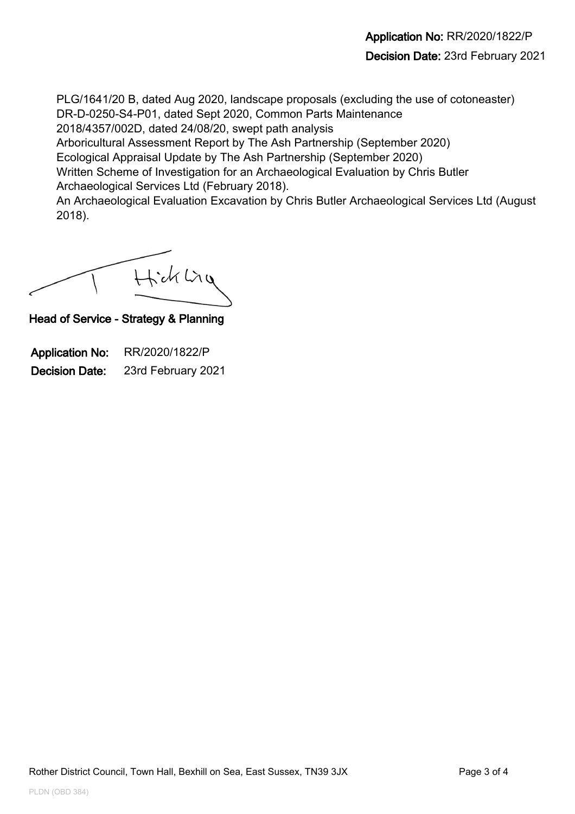PLG/1641/20 B, dated Aug 2020, landscape proposals (excluding the use of cotoneaster) DR-D-0250-S4-P01, dated Sept 2020, Common Parts Maintenance 2018/4357/002D, dated 24/08/20, swept path analysis

Arboricultural Assessment Report by The Ash Partnership (September 2020)

Ecological Appraisal Update by The Ash Partnership (September 2020)

Written Scheme of Investigation for an Archaeological Evaluation by Chris Butler Archaeological Services Ltd (February 2018).

An Archaeological Evaluation Excavation by Chris Butler Archaeological Services Ltd (August 2018).

Hick Ling

Head of Service - Strategy & Planning

Application No: RR/2020/1822/P Decision Date: 23rd February 2021